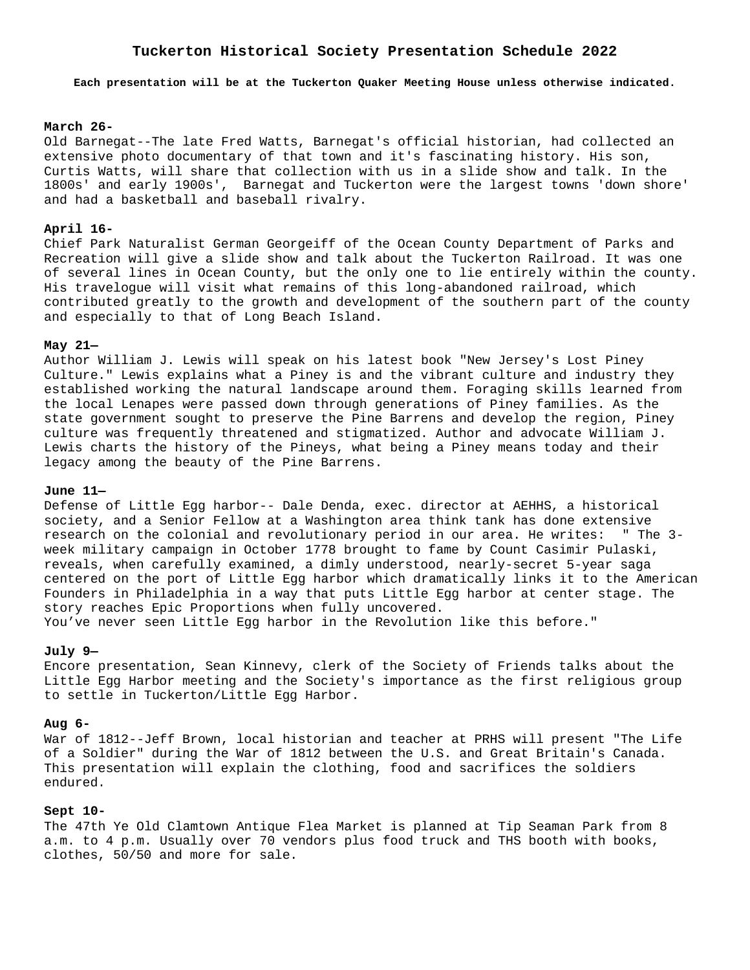# **Tuckerton Historical Society Presentation Schedule 2022**

**Each presentation will be at the Tuckerton Quaker Meeting House unless otherwise indicated.**

## **March 26-**

Old Barnegat--The late Fred Watts, Barnegat's official historian, had collected an extensive photo documentary of that town and it's fascinating history. His son, Curtis Watts, will share that collection with us in a slide show and talk. In the 1800s' and early 1900s', Barnegat and Tuckerton were the largest towns 'down shore' and had a basketball and baseball rivalry.

# **April 16-**

Chief Park Naturalist German Georgeiff of the Ocean County Department of Parks and Recreation will give a slide show and talk about the Tuckerton Railroad. It was one of several lines in Ocean County, but the only one to lie entirely within the county. His travelogue will visit what remains of this long-abandoned railroad, which contributed greatly to the growth and development of the southern part of the county and especially to that of Long Beach Island.

#### **May 21—**

Author William J. Lewis will speak on his latest book "New Jersey's Lost Piney Culture." Lewis explains what a Piney is and the vibrant culture and industry they established working the natural landscape around them. Foraging skills learned from the local Lenapes were passed down through generations of Piney families. As the state government sought to preserve the Pine Barrens and develop the region, Piney culture was frequently threatened and stigmatized. Author and advocate William J. Lewis charts the history of the Pineys, what being a Piney means today and their legacy among the beauty of the Pine Barrens.

### **June 11—**

Defense of Little Egg harbor-- Dale Denda, exec. director at AEHHS, a historical society, and a Senior Fellow at a Washington area think tank has done extensive research on the colonial and revolutionary period in our area. He writes: " The 3 week military campaign in October 1778 brought to fame by Count Casimir Pulaski, reveals, when carefully examined, a dimly understood, nearly-secret 5-year saga centered on the port of Little Egg harbor which dramatically links it to the American Founders in Philadelphia in a way that puts Little Egg harbor at center stage. The story reaches Epic Proportions when fully uncovered.

You've never seen Little Egg harbor in the Revolution like this before."

#### **July 9—**

Encore presentation, Sean Kinnevy, clerk of the Society of Friends talks about the Little Egg Harbor meeting and the Society's importance as the first religious group to settle in Tuckerton/Little Egg Harbor.

#### **Aug 6-**

War of 1812--Jeff Brown, local historian and teacher at PRHS will present "The Life of a Soldier" during the War of 1812 between the U.S. and Great Britain's Canada. This presentation will explain the clothing, food and sacrifices the soldiers endured.

# **Sept 10-**

The 47th Ye Old Clamtown Antique Flea Market is planned at Tip Seaman Park from 8 a.m. to 4 p.m. Usually over 70 vendors plus food truck and THS booth with books, clothes, 50/50 and more for sale.